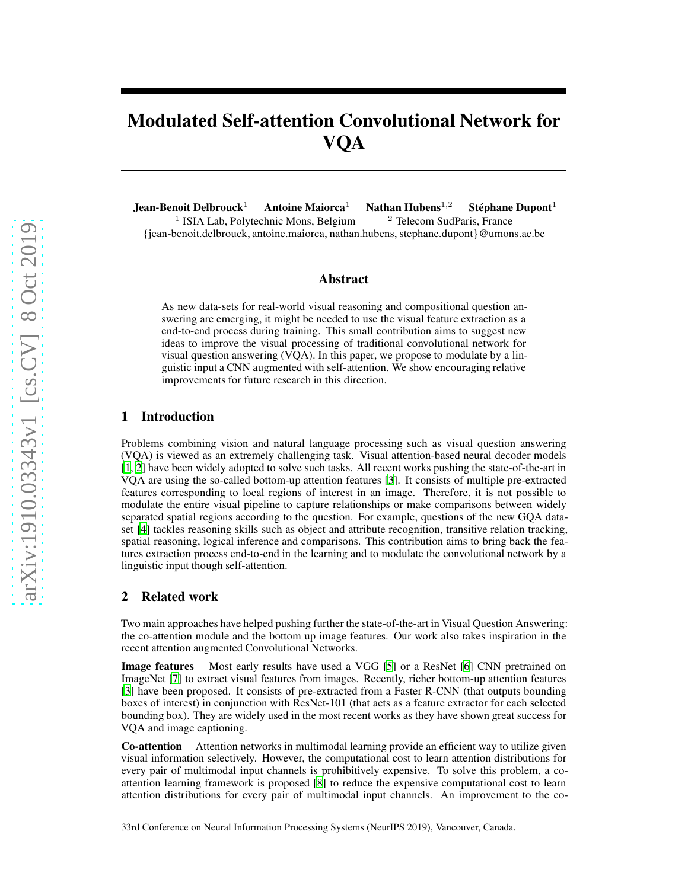# Modulated Self-attention Convolutional Network for VQA

Jean-Benoit Delbrouck<sup>1</sup> Antoine Maiorca<sup>1</sup> Nathan Hubens<sup>1,2</sup> Stéphane Dupont<sup>1</sup> <sup>1</sup> ISIA Lab, Polytechnic Mons, Belgium <sup>2</sup> Telecom SudParis, France {jean-benoit.delbrouck, antoine.maiorca, nathan.hubens, stephane.dupont}@umons.ac.be

## Abstract

As new data-sets for real-world visual reasoning and compositional question answering are emerging, it might be needed to use the visual feature extraction as a end-to-end process during training. This small contribution aims to suggest new ideas to improve the visual processing of traditional convolutional network for visual question answering (VQA). In this paper, we propose to modulate by a linguistic input a CNN augmented with self-attention. We show encouraging relative improvements for future research in this direction.

## 1 Introduction

Problems combining vision and natural language processing such as visual question answering (VQA) is viewed as an extremely challenging task. Visual attention-based neural decoder models [\[1](#page-4-0), [2](#page-4-1)] have been widely adopted to solve such tasks. All recent works pushing the state-of-the-art in VQA are using the so-called bottom-up attention features [\[3\]](#page-4-2). It consists of multiple pre-extracted features corresponding to local regions of interest in an image. Therefore, it is not possible to modulate the entire visual pipeline to capture relationships or make comparisons between widely separated spatial regions according to the question. For example, questions of the new GQA dataset [\[4](#page-4-3)] tackles reasoning skills such as object and attribute recognition, transitive relation tracking, spatial reasoning, logical inference and comparisons. This contribution aims to bring back the features extraction process end-to-end in the learning and to modulate the convolutional network by a linguistic input though self-attention.

## 2 Related work

Two main approaches have helped pushing further the state-of-the-art in Visual Question Answering: the co-attention module and the bottom up image features. Our work also takes inspiration in the recent attention augmented Convolutional Networks.

Image features Most early results have used a VGG [\[5\]](#page-4-4) or a ResNet [\[6](#page-4-5)] CNN pretrained on ImageNet [\[7\]](#page-4-6) to extract visual features from images. Recently, richer bottom-up attention features [\[3](#page-4-2)] have been proposed. It consists of pre-extracted from a Faster R-CNN (that outputs bounding boxes of interest) in conjunction with ResNet-101 (that acts as a feature extractor for each selected bounding box). They are widely used in the most recent works as they have shown great success for VQA and image captioning.

Co-attention Attention networks in multimodal learning provide an efficient way to utilize given visual information selectively. However, the computational cost to learn attention distributions for every pair of multimodal input channels is prohibitively expensive. To solve this problem, a coattention learning framework is proposed [\[8](#page-4-7)] to reduce the expensive computational cost to learn attention distributions for every pair of multimodal input channels. An improvement to the co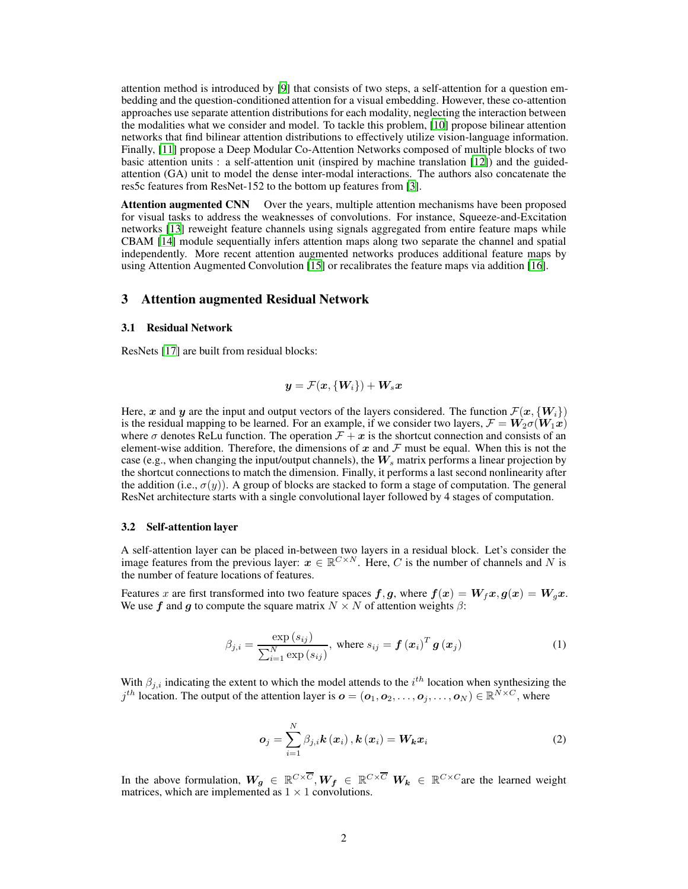attention method is introduced by [\[9](#page-4-8)] that consists of two steps, a self-attention for a question embedding and the question-conditioned attention for a visual embedding. However, these co-attention approaches use separate attention distributions for each modality, neglecting the interaction between the modalities what we consider and model. To tackle this problem, [\[10\]](#page-4-9) propose bilinear attention networks that find bilinear attention distributions to effectively utilize vision-language information. Finally, [\[11](#page-4-10)] propose a Deep Modular Co-Attention Networks composed of multiple blocks of two basic attention units : a self-attention unit (inspired by machine translation [\[12\]](#page-4-11)) and the guidedattention (GA) unit to model the dense inter-modal interactions. The authors also concatenate the res5c features from ResNet-152 to the bottom up features from [\[3\]](#page-4-2).

Attention augmented CNN Over the years, multiple attention mechanisms have been proposed for visual tasks to address the weaknesses of convolutions. For instance, Squeeze-and-Excitation networks [\[13](#page-4-12)] reweight feature channels using signals aggregated from entire feature maps while CBAM [\[14\]](#page-4-13) module sequentially infers attention maps along two separate the channel and spatial independently. More recent attention augmented networks produces additional feature maps by using Attention Augmented Convolution [\[15](#page-4-14)] or recalibrates the feature maps via addition [\[16\]](#page-4-15).

## 3 Attention augmented Residual Network

## 3.1 Residual Network

ResNets [\[17\]](#page-5-0) are built from residual blocks:

$$
\bm{y} = \mathcal{F}(\bm{x}, \{\bm{W}_i\}) + \bm{W}_s \bm{x}
$$

Here, x and y are the input and output vectors of the layers considered. The function  $\mathcal{F}(x, \{W_i\})$ is the residual mapping to be learned. For an example, if we consider two layers,  $\mathcal{F} = W_2 \sigma(W_1x)$ where  $\sigma$  denotes ReLu function. The operation  $\mathcal{F} + x$  is the shortcut connection and consists of an element-wise addition. Therefore, the dimensions of x and  $\mathcal F$  must be equal. When this is not the case (e.g., when changing the input/output channels), the  $W_s$  matrix performs a linear projection by the shortcut connections to match the dimension. Finally, it performs a last second nonlinearity after the addition (i.e.,  $\sigma(y)$ ). A group of blocks are stacked to form a stage of computation. The general ResNet architecture starts with a single convolutional layer followed by 4 stages of computation.

#### 3.2 Self-attention layer

A self-attention layer can be placed in-between two layers in a residual block. Let's consider the image features from the previous layer:  $x \in \mathbb{R}^{C \times N}$ . Here, C is the number of channels and N is the number of feature locations of features.

Features x are first transformed into two feature spaces  $f, g$ , where  $f(x) = W_f x, g(x) = W_g x$ . We use f and g to compute the square matrix  $N \times N$  of attention weights  $\beta$ :

$$
\beta_{j,i} = \frac{\exp(s_{ij})}{\sum_{i=1}^{N} \exp(s_{ij})}, \text{ where } s_{ij} = \boldsymbol{f}\left(\boldsymbol{x}_i\right)^T \boldsymbol{g}\left(\boldsymbol{x}_j\right) \tag{1}
$$

<span id="page-1-0"></span>With  $\beta_{j,i}$  indicating the extent to which the model attends to the  $i^{th}$  location when synthesizing the  $j^{th}$  location. The output of the attention layer is  $\boldsymbol{o} = (\boldsymbol{o}_1, \boldsymbol{o}_2, \dots, \boldsymbol{o}_j, \dots, \boldsymbol{o}_N) \in \mathbb{R}^{N \times C}$ , where

$$
o_j = \sum_{i=1}^{N} \beta_{j,i} k(\boldsymbol{x}_i), k(\boldsymbol{x}_i) = \boldsymbol{W_k} \boldsymbol{x}_i
$$
 (2)

In the above formulation,  $W_g \in \mathbb{R}^{C \times \overline{C}}$ ,  $W_f \in \mathbb{R}^{C \times \overline{C}}$   $W_k \in \mathbb{R}^{C \times C}$  are the learned weight matrices, which are implemented as  $1 \times 1$  convolutions.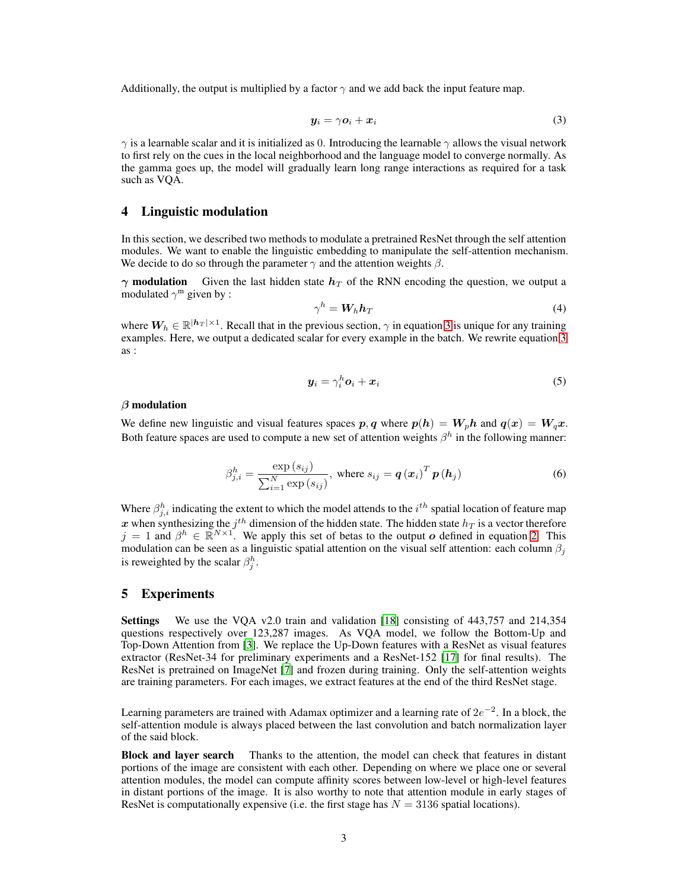<span id="page-2-0"></span>Additionally, the output is multiplied by a factor  $\gamma$  and we add back the input feature map.

$$
y_i = \gamma o_i + x_i \tag{3}
$$

 $\gamma$  is a learnable scalar and it is initialized as 0. Introducing the learnable  $\gamma$  allows the visual network to first rely on the cues in the local neighborhood and the language model to converge normally. As the gamma goes up, the model will gradually learn long range interactions as required for a task such as VQA.

## 4 Linguistic modulation

In this section, we described two methods to modulate a pretrained ResNet through the self attention modules. We want to enable the linguistic embedding to manipulate the self-attention mechanism. We decide to do so through the parameter  $\gamma$  and the attention weights  $\beta$ .

 $\gamma$  modulation Given the last hidden state  $h_T$  of the RNN encoding the question, we output a modulated  $\gamma^{\rm m}$  given by :

<span id="page-2-1"></span>
$$
\gamma^h = \mathbf{W}_h \mathbf{h}_T \tag{4}
$$

where  $W_h \in \mathbb{R}^{|h_T|\times 1}$ . Recall that in the previous section,  $\gamma$  in equation [3](#page-2-0) is unique for any training examples. Here, we output a dedicated scalar for every example in the batch. We rewrite equation [3](#page-2-0) as :

$$
\mathbf{y}_i = \gamma_i^h \mathbf{o}_i + \mathbf{x}_i \tag{5}
$$

## $\beta$  modulation

We define new linguistic and visual features spaces  $p, q$  where  $p(h) = W_p h$  and  $q(x) = W_q x$ . Both feature spaces are used to compute a new set of attention weights  $\beta^h$  in the following manner:

$$
\beta_{j,i}^{h} = \frac{\exp(s_{ij})}{\sum_{i=1}^{N} \exp(s_{ij})}, \text{ where } s_{ij} = q(x_i)^{T} p(h_j)
$$
\n(6)

Where  $\beta_{j,i}^h$  indicating the extent to which the model attends to the  $i^{th}$  spatial location of feature map  $\bm{x}$  when synthesizing the  $j^{th}$  dimension of the hidden state. The hidden state  $h_T$  is a vector therefore  $j = 1$  and  $\beta^h \in \mathbb{R}^{N \times 1}$ . We apply this set of betas to the output *o* defined in equation [2.](#page-1-0) This modulation can be seen as a linguistic spatial attention on the visual self attention: each column  $\beta_i$ is reweighted by the scalar  $\beta_j^h$ .

## 5 Experiments

Settings We use the VQA v2.0 train and validation [\[18](#page-5-1)] consisting of 443,757 and 214,354 questions respectively over 123,287 images. As VQA model, we follow the Bottom-Up and Top-Down Attention from [\[3\]](#page-4-2). We replace the Up-Down features with a ResNet as visual features extractor (ResNet-34 for preliminary experiments and a ResNet-152 [\[17\]](#page-5-0) for final results). The ResNet is pretrained on ImageNet [\[7](#page-4-6)] and frozen during training. Only the self-attention weights are training parameters. For each images, we extract features at the end of the third ResNet stage.

Learning parameters are trained with Adamax optimizer and a learning rate of  $2e^{-2}$ . In a block, the self-attention module is always placed between the last convolution and batch normalization layer of the said block.

Block and layer search Thanks to the attention, the model can check that features in distant portions of the image are consistent with each other. Depending on where we place one or several attention modules, the model can compute affinity scores between low-level or high-level features in distant portions of the image. It is also worthy to note that attention module in early stages of ResNet is computationally expensive (i.e. the first stage has  $N = 3136$  spatial locations).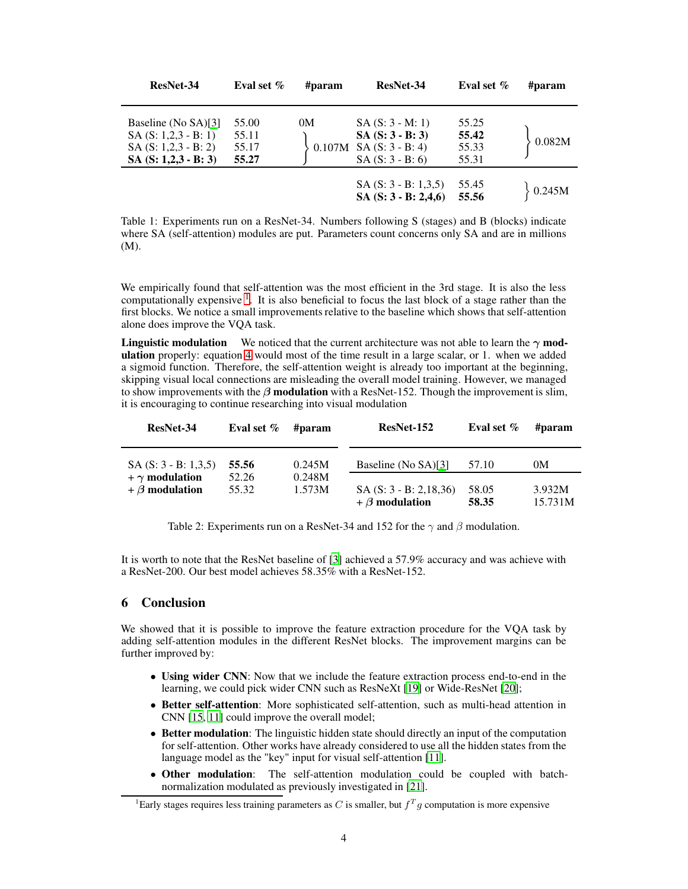| ResNet-34                                                                                            | Eval set $\%$                    | #param       | ResNet-34                                                                    | Eval set $%$                     | #param |
|------------------------------------------------------------------------------------------------------|----------------------------------|--------------|------------------------------------------------------------------------------|----------------------------------|--------|
| Baseline (No SA)[3]<br>$SA(S: 1, 2, 3 - B: 1)$<br>$SA(S: 1, 2, 3 - B: 2)$<br>$SA(S: 1, 2, 3 - B: 3)$ | 55.00<br>55.11<br>55.17<br>55.27 | 0M<br>0.107M | $SA(S:3 - M:1)$<br>$SA(S:3 - B:3)$<br>$SA(S: 3 - B: 4)$<br>$SA(S: 3 - B: 6)$ | 55.25<br>55.42<br>55.33<br>55.31 | 0.082M |
|                                                                                                      |                                  |              | $SA(S: 3 - B: 1, 3, 5)$<br>SA $(S: 3 - B: 2,4,6)$                            | 55.45<br>55.56                   | 0.245M |

Table 1: Experiments run on a ResNet-34. Numbers following S (stages) and B (blocks) indicate where SA (self-attention) modules are put. Parameters count concerns only SA and are in millions (M).

We empirically found that self-attention was the most efficient in the 3rd stage. It is also the less computationally expensive <sup>[1](#page-3-0)</sup>. It is also beneficial to focus the last block of a stage rather than the first blocks. We notice a small improvements relative to the baseline which shows that self-attention alone does improve the VQA task.

**Linguistic modulation** We noticed that the current architecture was not able to learn the  $\gamma$  modulation properly: equation [4](#page-2-1) would most of the time result in a large scalar, or 1. when we added a sigmoid function. Therefore, the self-attention weight is already too important at the beginning, skipping visual local connections are misleading the overall model training. However, we managed to show improvements with the  $\beta$  modulation with a ResNet-152. Though the improvement is slim, it is encouraging to continue researching into visual modulation

| ResNet-34               | Eval set $\%$ | #param | ResNet-152                                        | Eval set $%$   | #param            |
|-------------------------|---------------|--------|---------------------------------------------------|----------------|-------------------|
| $SA(S: 3 - B: 1, 3, 5)$ | 55.56         | 0.245M | Baseline (No SA)[3]                               | 57.10          | 0M                |
| $+ \gamma$ modulation   | 52.26         | 0.248M |                                                   |                |                   |
| $+$ $\beta$ modulation  | 55.32         | 1.573M | $SA(S: 3 - B: 2, 18, 36)$<br>$+ \beta$ modulation | 58.05<br>58.35 | 3.932M<br>15.731M |

Table 2: Experiments run on a ResNet-34 and 152 for the  $\gamma$  and  $\beta$  modulation.

It is worth to note that the ResNet baseline of [\[3](#page-4-2)] achieved a 57.9% accuracy and was achieve with a ResNet-200. Our best model achieves 58.35% with a ResNet-152.

## 6 Conclusion

We showed that it is possible to improve the feature extraction procedure for the VQA task by adding self-attention modules in the different ResNet blocks. The improvement margins can be further improved by:

- Using wider CNN: Now that we include the feature extraction process end-to-end in the learning, we could pick wider CNN such as ResNeXt [\[19\]](#page-5-2) or Wide-ResNet [\[20\]](#page-5-3);
- Better self-attention: More sophisticated self-attention, such as multi-head attention in CNN [\[15,](#page-4-14) [11\]](#page-4-10) could improve the overall model;
- Better modulation: The linguistic hidden state should directly an input of the computation for self-attention. Other works have already considered to use all the hidden states from the language model as the "key" input for visual self-attention [\[11\]](#page-4-10).
- Other modulation: The self-attention modulation could be coupled with batchnormalization modulated as previously investigated in [\[21\]](#page-5-4).

<span id="page-3-0"></span><sup>&</sup>lt;sup>1</sup>Early stages requires less training parameters as C is smaller, but  $f<sup>T</sup>g$  computation is more expensive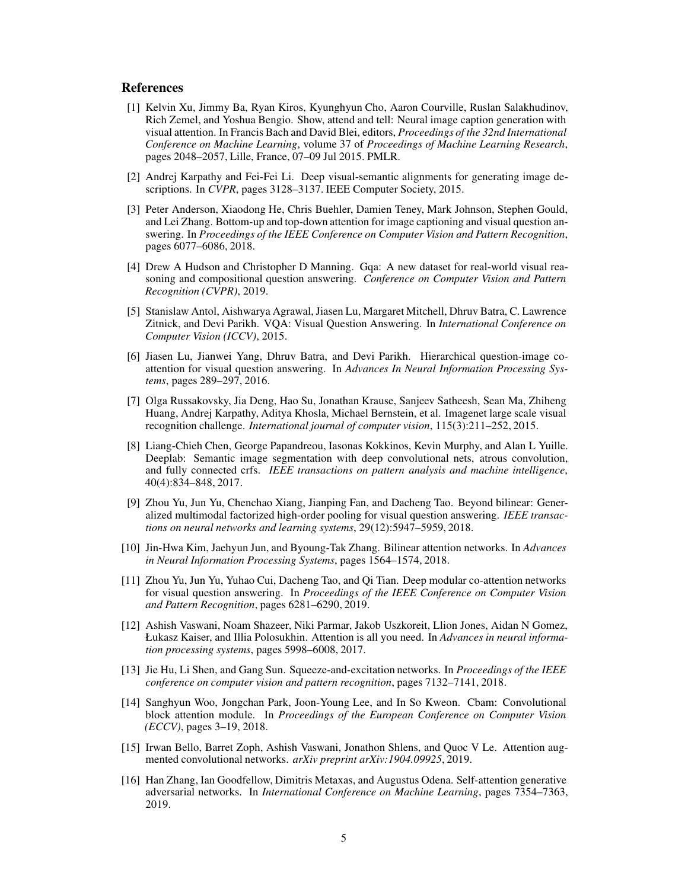# **References**

- <span id="page-4-0"></span>[1] Kelvin Xu, Jimmy Ba, Ryan Kiros, Kyunghyun Cho, Aaron Courville, Ruslan Salakhudinov, Rich Zemel, and Yoshua Bengio. Show, attend and tell: Neural image caption generation with visual attention. In Francis Bach and David Blei, editors, *Proceedings of the 32nd International Conference on Machine Learning*, volume 37 of *Proceedings of Machine Learning Research*, pages 2048–2057, Lille, France, 07–09 Jul 2015. PMLR.
- <span id="page-4-1"></span>[2] Andrej Karpathy and Fei-Fei Li. Deep visual-semantic alignments for generating image descriptions. In *CVPR*, pages 3128–3137. IEEE Computer Society, 2015.
- <span id="page-4-2"></span>[3] Peter Anderson, Xiaodong He, Chris Buehler, Damien Teney, Mark Johnson, Stephen Gould, and Lei Zhang. Bottom-up and top-down attention for image captioning and visual question answering. In *Proceedings of the IEEE Conference on Computer Vision and Pattern Recognition*, pages 6077–6086, 2018.
- <span id="page-4-3"></span>[4] Drew A Hudson and Christopher D Manning. Gqa: A new dataset for real-world visual reasoning and compositional question answering. *Conference on Computer Vision and Pattern Recognition (CVPR)*, 2019.
- <span id="page-4-4"></span>[5] Stanislaw Antol, Aishwarya Agrawal, Jiasen Lu, Margaret Mitchell, Dhruv Batra, C. Lawrence Zitnick, and Devi Parikh. VQA: Visual Question Answering. In *International Conference on Computer Vision (ICCV)*, 2015.
- <span id="page-4-5"></span>[6] Jiasen Lu, Jianwei Yang, Dhruv Batra, and Devi Parikh. Hierarchical question-image coattention for visual question answering. In *Advances In Neural Information Processing Systems*, pages 289–297, 2016.
- <span id="page-4-6"></span>[7] Olga Russakovsky, Jia Deng, Hao Su, Jonathan Krause, Sanjeev Satheesh, Sean Ma, Zhiheng Huang, Andrej Karpathy, Aditya Khosla, Michael Bernstein, et al. Imagenet large scale visual recognition challenge. *International journal of computer vision*, 115(3):211–252, 2015.
- <span id="page-4-7"></span>[8] Liang-Chieh Chen, George Papandreou, Iasonas Kokkinos, Kevin Murphy, and Alan L Yuille. Deeplab: Semantic image segmentation with deep convolutional nets, atrous convolution, and fully connected crfs. *IEEE transactions on pattern analysis and machine intelligence*, 40(4):834–848, 2017.
- <span id="page-4-8"></span>[9] Zhou Yu, Jun Yu, Chenchao Xiang, Jianping Fan, and Dacheng Tao. Beyond bilinear: Generalized multimodal factorized high-order pooling for visual question answering. *IEEE transactions on neural networks and learning systems*, 29(12):5947–5959, 2018.
- <span id="page-4-9"></span>[10] Jin-Hwa Kim, Jaehyun Jun, and Byoung-Tak Zhang. Bilinear attention networks. In *Advances in Neural Information Processing Systems*, pages 1564–1574, 2018.
- <span id="page-4-10"></span>[11] Zhou Yu, Jun Yu, Yuhao Cui, Dacheng Tao, and Qi Tian. Deep modular co-attention networks for visual question answering. In *Proceedings of the IEEE Conference on Computer Vision and Pattern Recognition*, pages 6281–6290, 2019.
- <span id="page-4-11"></span>[12] Ashish Vaswani, Noam Shazeer, Niki Parmar, Jakob Uszkoreit, Llion Jones, Aidan N Gomez, Łukasz Kaiser, and Illia Polosukhin. Attention is all you need. In *Advances in neural information processing systems*, pages 5998–6008, 2017.
- <span id="page-4-12"></span>[13] Jie Hu, Li Shen, and Gang Sun. Squeeze-and-excitation networks. In *Proceedings of the IEEE conference on computer vision and pattern recognition*, pages 7132–7141, 2018.
- <span id="page-4-13"></span>[14] Sanghyun Woo, Jongchan Park, Joon-Young Lee, and In So Kweon. Cbam: Convolutional block attention module. In *Proceedings of the European Conference on Computer Vision (ECCV)*, pages 3–19, 2018.
- <span id="page-4-14"></span>[15] Irwan Bello, Barret Zoph, Ashish Vaswani, Jonathon Shlens, and Quoc V Le. Attention augmented convolutional networks. *arXiv preprint arXiv:1904.09925*, 2019.
- <span id="page-4-15"></span>[16] Han Zhang, Ian Goodfellow, Dimitris Metaxas, and Augustus Odena. Self-attention generative adversarial networks. In *International Conference on Machine Learning*, pages 7354–7363, 2019.